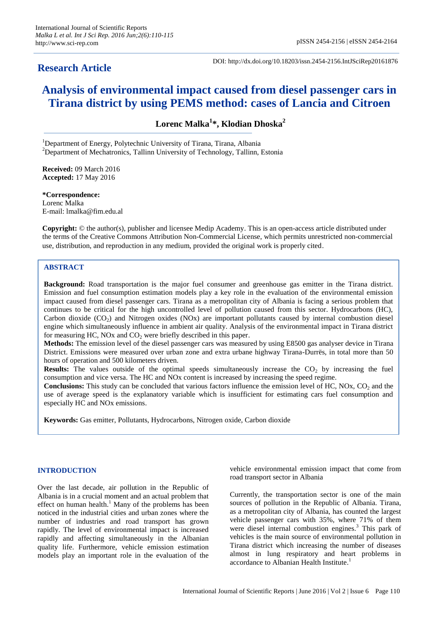# **Research Article**

DOI: http://dx.doi.org/10.18203/issn.2454-2156.IntJSciRep20161876

# **Analysis of environmental impact caused from diesel passenger cars in Tirana district by using PEMS method: cases of Lancia and Citroen**

**Lorenc Malka<sup>1</sup> \*, Klodian Dhoska<sup>2</sup>**

<sup>1</sup>Department of Energy, Polytechnic University of Tirana, Tirana, Albania  $2$ Department of Mechatronics, Tallinn University of Technology, Tallinn, Estonia

**Received:** 09 March 2016 **Accepted:** 17 May 2016

**\*Correspondence:** Lorenc Malka E-mail: lmalka@fim.edu.al

**Copyright:** © the author(s), publisher and licensee Medip Academy. This is an open-access article distributed under the terms of the Creative Commons Attribution Non-Commercial License, which permits unrestricted non-commercial use, distribution, and reproduction in any medium, provided the original work is properly cited.

# **ABSTRACT**

**Background:** Road transportation is the major fuel consumer and greenhouse gas emitter in the Tirana district. Emission and fuel consumption estimation models play a key role in the evaluation of the environmental emission impact caused from diesel passenger cars. Tirana as a metropolitan city of Albania is facing a serious problem that continues to be critical for the high uncontrolled level of pollution caused from this sector. Hydrocarbons (HC), Carbon dioxide  $(CO<sub>2</sub>)$  and Nitrogen oxides (NOx) are important pollutants caused by internal combustion diesel engine which simultaneously influence in ambient air quality. Analysis of the environmental impact in Tirana district for measuring HC, NOx and  $CO<sub>2</sub>$  were briefly described in this paper.

**Methods:** The emission level of the diesel passenger cars was measured by using E8500 gas analyser device in Tirana District. Emissions were measured over urban zone and extra urbane highway Tirana-Durrës, in total more than 50 hours of operation and 500 kilometers driven.

**Results:** The values outside of the optimal speeds simultaneously increase the CO<sub>2</sub> by increasing the fuel consumption and vice versa. The HC and NOx content is increased by increasing the speed regime.

**Conclusions:** This study can be concluded that various factors influence the emission level of HC, NOx, CO<sub>2</sub> and the use of average speed is the explanatory variable which is insufficient for estimating cars fuel consumption and especially HC and NOx emissions.

**Keywords:** Gas emitter, Pollutants, Hydrocarbons, Nitrogen oxide, Carbon dioxide

## **INTRODUCTION**

Over the last decade, air pollution in the Republic of Albania is in a crucial moment and an actual problem that effect on human health.<sup>1</sup> Many of the problems has been noticed in the industrial cities and urban zones where the number of industries and road transport has grown rapidly. The level of environmental impact is increased rapidly and affecting simultaneously in the Albanian quality life. Furthermore, vehicle emission estimation models play an important role in the evaluation of the vehicle environmental emission impact that come from road transport sector in Albania

Currently, the transportation sector is one of the main sources of pollution in the Republic of Albania. Tirana, as a metropolitan city of Albania, has counted the largest vehicle passenger cars with 35%, where 71% of them were diesel internal combustion engines. <sup>3</sup> This park of vehicles is the main source of environmental pollution in Tirana district which increasing the number of diseases almost in lung respiratory and heart problems in accordance to Albanian Health Institute. 1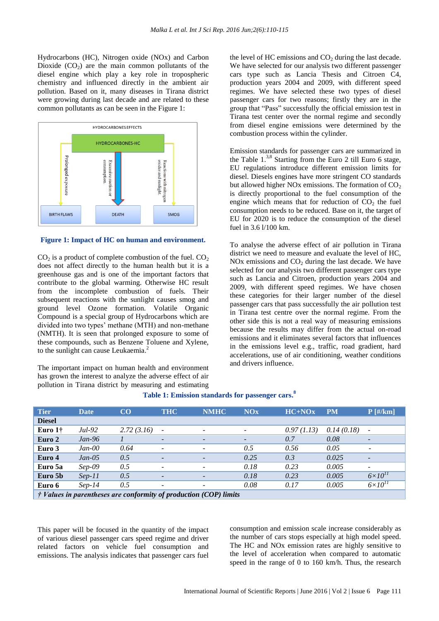Hydrocarbons (HC), Nitrogen oxide (NOx) and Carbon Dioxide  $(CO<sub>2</sub>)$  are the main common pollutants of the diesel engine which play a key role in tropospheric chemistry and influenced directly in the ambient air pollution. Based on it, many diseases in Tirana district were growing during last decade and are related to these common pollutants as can be seen in the Figure 1:



#### **Figure 1: Impact of HC on human and environment.**

 $CO<sub>2</sub>$  is a product of complete combustion of the fuel.  $CO<sub>2</sub>$ does not affect directly to the human health but it is a greenhouse gas and is one of the important factors that contribute to the global warming. Otherwise HC result from the incomplete combustion of fuels. Their subsequent reactions with the sunlight causes smog and ground level Ozone formation. Volatile Organic Compound is a special group of Hydrocarbons which are divided into two types' methane (MTH) and non-methane (NMTH). It is seen that prolonged exposure to some of these compounds, such as Benzene Toluene and Xylene, to the sunlight can cause Leukaemia.<sup>2</sup>

The important impact on human health and environment has grown the interest to analyze the adverse effect of air pollution in Tirana district by measuring and estimating the level of HC emissions and  $CO<sub>2</sub>$  during the last decade. We have selected for our analysis two different passenger cars type such as Lancia Thesis and Citroen C4, production years 2004 and 2009, with different speed regimes. We have selected these two types of diesel passenger cars for two reasons; firstly they are in the group that "Pass" successfully the official emission test in Tirana test center over the normal regime and secondly from diesel engine emissions were determined by the combustion process within the cylinder.

Emission standards for passenger cars are summarized in the Table 1. 3,8 Starting from the Euro 2 till Euro 6 stage, EU regulations introduce different emission limits for diesel. Diesels engines have more stringent CO standards but allowed higher NOx emissions. The formation of  $CO<sub>2</sub>$ is directly proportional to the fuel consumption of the engine which means that for reduction of  $CO<sub>2</sub>$  the fuel consumption needs to be reduced. Base on it, the target of EU for 2020 is to reduce the consumption of the diesel fuel in 3.6 l/100 km.

To analyse the adverse effect of air pollution in Tirana district we need to measure and evaluate the level of HC, NOx emissions and  $CO<sub>2</sub>$  during the last decade. We have selected for our analysis two different passenger cars type such as Lancia and Citroen, production years 2004 and 2009, with different speed regimes. We have chosen these categories for their larger number of the diesel passenger cars that pass successfully the air pollution test in Tirana test centre over the normal regime. From the other side this is not a real way of measuring emissions because the results may differ from the actual on-road emissions and it eliminates several factors that influences in the emissions level e.g., traffic, road gradient, hard accelerations, use of air conditioning, weather conditions and drivers influence.

| <b>Tier</b>                                                                  | <b>Date</b> | CO         | <b>THC</b>               | <b>NMHC</b>              | <b>NOx</b>               | $HC+NOx$   | <b>PM</b>  | $P$ [#/km]               |
|------------------------------------------------------------------------------|-------------|------------|--------------------------|--------------------------|--------------------------|------------|------------|--------------------------|
| <b>Diesel</b>                                                                |             |            |                          |                          |                          |            |            |                          |
| Euro $1\dagger$                                                              | Jul-92      | 2.72(3.16) | $\overline{\phantom{0}}$ | $\overline{\phantom{a}}$ | $\overline{\phantom{a}}$ | 0.97(1.13) | 0.14(0.18) | $\overline{\phantom{a}}$ |
| Euro 2                                                                       | $Jan-96$    |            | $\overline{\phantom{0}}$ | $\overline{\phantom{a}}$ | $\overline{\phantom{a}}$ | 0.7        | 0.08       |                          |
| Euro 3                                                                       | $Jan-00$    | 0.64       | $\overline{\phantom{a}}$ | $\overline{\phantom{a}}$ | 0.5                      | 0.56       | 0.05       |                          |
| Euro 4                                                                       | $Jan-05$    | 0.5        | $\overline{\phantom{a}}$ | $\overline{\phantom{a}}$ | 0.25                     | 0.3        | 0.025      | $\overline{\phantom{a}}$ |
| Euro 5a                                                                      | $Sep-09$    | 0.5        |                          | $\overline{\phantom{a}}$ | 0.18                     | 0.23       | 0.005      | $\overline{\phantom{a}}$ |
| Euro 5b                                                                      | $Sep-11$    | 0.5        | $\overline{\phantom{a}}$ | $\overline{\phantom{a}}$ | 0.18                     | 0.23       | 0.005      | $6\times10^{11}$         |
| Euro 6                                                                       | $Sep-14$    | 0.5        | $\overline{\phantom{0}}$ | $\overline{\phantom{a}}$ | 0.08                     | 0.17       | 0.005      | $6\times10^{11}$         |
| $\dot{\tau}$ Values in parentheses are conformity of production (COP) limits |             |            |                          |                          |                          |            |            |                          |

# **Table 1: Emission standards for passenger cars. 8**

This paper will be focused in the quantity of the impact of various diesel passenger cars speed regime and driver related factors on vehicle fuel consumption and emissions. The analysis indicates that passenger cars fuel consumption and emission scale increase considerably as the number of cars stops especially at high model speed. The HC and NOx emission rates are highly sensitive to the level of acceleration when compared to automatic speed in the range of 0 to 160 km/h. Thus, the research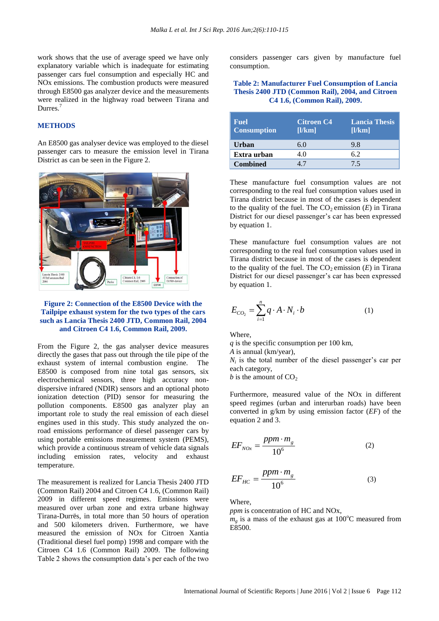work shows that the use of average speed we have only explanatory variable which is inadequate for estimating passenger cars fuel consumption and especially HC and NOx emissions. The combustion products were measured through E8500 gas analyzer device and the measurements were realized in the highway road between Tirana and Durres.<sup>7</sup>

#### **METHODS**

An E8500 gas analyser device was employed to the diesel passenger cars to measure the emission level in Tirana District as can be seen in the Figure 2.



#### **Figure 2: Connection of the E8500 Device with the Tailpipe exhaust system for the two types of the cars such as Lancia Thesis 2400 JTD, Common Rail, 2004 and Citroen C4 1.6, Common Rail, 2009.**

From the Figure 2, the gas analyser device measures directly the gases that pass out through the tile pipe of the exhaust system of internal combustion engine. The E8500 is composed from nine total gas sensors, six electrochemical sensors, three high accuracy nondispersive infrared (NDIR) sensors and an optional photo ionization detection (PID) sensor for measuring the pollution components. E8500 gas analyzer play an important role to study the real emission of each diesel engines used in this study. This study analyzed the onroad emissions performance of diesel passenger cars by using portable emissions measurement system (PEMS), which provide a continuous stream of vehicle data signals including emission rates, velocity and exhaust temperature.

The measurement is realized for Lancia Thesis 2400 JTD (Common Rail) 2004 and Citroen C4 1.6, (Common Rail) 2009 in different speed regimes. Emissions were measured over urban zone and extra urbane highway Tirana-Durrës, in total more than 50 hours of operation and 500 kilometers driven. Furthermore, we have measured the emission of NOx for Citroen Xantia (Traditional diesel fuel pomp) 1998 and compare with the Citroen C4 1.6 (Common Rail) 2009. The following Table 2 shows the consumption data's per each of the two

considers passenger cars given by manufacture fuel consumption.

#### **Table 2: Manufacturer Fuel Consumption of Lancia Thesis 2400 JTD (Common Rail), 2004, and Citroen C4 1.6, (Common Rail), 2009.**

| <b>Fuel</b><br><b>Consumption</b> | <b>Citroen C4</b><br>[1/km] | <b>Lancia Thesis</b><br>[1/km] |
|-----------------------------------|-----------------------------|--------------------------------|
| <b>Urban</b>                      | 6.0                         | 9.8                            |
| Extra urban                       | 4.0                         | 62                             |
| <b>Combined</b>                   |                             | 75                             |

These manufacture fuel consumption values are not corresponding to the real fuel consumption values used in Tirana district because in most of the cases is dependent to the quality of the fuel. The  $CO<sub>2</sub>$  emission  $(E)$  in Tirana District for our diesel passenger's car has been expressed by equation 1.

These manufacture fuel consumption values are not corresponding to the real fuel consumption values used in Tirana district because in most of the cases is dependent to the quality of the fuel. The  $CO<sub>2</sub>$  emission  $(E)$  in Tirana District for our diesel passenger's car has been expressed by equation 1.

$$
E_{CO_2} = \sum_{i=1}^{n} q \cdot A \cdot N_i \cdot b \tag{1}
$$

Where,

*q* is the specific consumption per 100 km,

*A* is annual (km/year),

 $N_i$  is the total number of the diesel passenger's car per each category,

*b* is the amount of  $CO<sub>2</sub>$ 

Furthermore, measured value of the NOx in different speed regimes (urban and interurban roads) have been converted in g/km by using emission factor (*EF*) of the equation 2 and 3.

$$
EF_{NOx} = \frac{ppm \cdot m_g}{10^6} \tag{2}
$$

$$
EF_{HC} = \frac{ppm \cdot m_g}{10^6} \tag{3}
$$

Where,

*ppm* is concentration of HC and NOx,

 $m<sub>g</sub>$  is a mass of the exhaust gas at 100<sup>o</sup>C measured from E8500.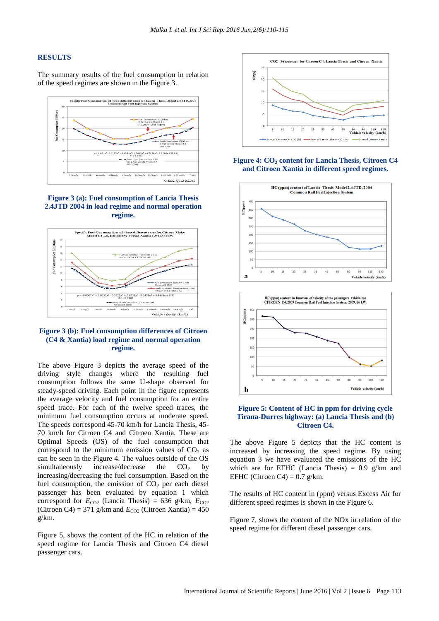#### **RESULTS**

The summary results of the fuel consumption in relation of the speed regimes are shown in the Figure 3.



#### **Figure 3 (a): Fuel consumption of Lancia Thesis 2.4JTD 2004 in load regime and normal operation regime.**



#### **Figure 3 (b): Fuel consumption differences of Citroen (C4 & Xantia) load regime and normal operation regime.**

The above Figure 3 depicts the average speed of the driving style changes where the resulting fuel consumption follows the same U-shape observed for steady-speed driving. Each point in the figure represents the average velocity and fuel consumption for an entire speed trace. For each of the twelve speed traces, the minimum fuel consumption occurs at moderate speed. The speeds correspond 45-70 km/h for Lancia Thesis, 45- 70 km/h for Citroen C4 and Citroen Xantia. These are Optimal Speeds (OS) of the fuel consumption that correspond to the minimum emission values of  $CO<sub>2</sub>$  as can be seen in the Figure 4. The values outside of the OS simultaneously increase/decrease the  $CO<sub>2</sub>$  by increasing/decreasing the fuel consumption. Based on the fuel consumption, the emission of  $CO<sub>2</sub>$  per each diesel passenger has been evaluated by equation 1 which correspond for  $E_{CO2}$  (Lancia Thesis) = 636 g/km,  $E_{CO2}$ (Citroen C4) = 371 g/km and  $E_{CO2}$  (Citroen Xantia) = 450 g/km.

Figure 5, shows the content of the HC in relation of the speed regime for Lancia Thesis and Citroen C4 diesel passenger cars.



#### **Figure 4: CO<sup>2</sup> content for Lancia Thesis, Citroen C4 and Citroen Xantia in different speed regimes.**



### **Figure 5: Content of HC in ppm for driving cycle Tirana-Durres highway: (a) Lancia Thesis and (b) Citroen C4.**

The above Figure 5 depicts that the HC content is increased by increasing the speed regime. By using equation 3 we have evaluated the emissions of the HC which are for EFHC (Lancia Thesis) =  $0.9$  g/km and EFHC (Citroen C4) =  $0.7$  g/km.

The results of HC content in (ppm) versus Excess Air for different speed regimes is shown in the Figure 6.

Figure 7, shows the content of the NOx in relation of the speed regime for different diesel passenger cars.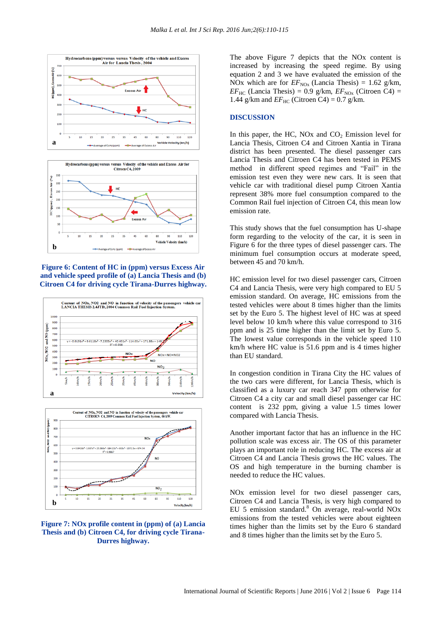



**Figure 6: Content of HC in (ppm) versus Excess Air and vehicle speed profile of (a) Lancia Thesis and (b) Citroen C4 for driving cycle Tirana-Durres highway.**





#### **Figure 7: NOx profile content in (ppm) of (a) Lancia Thesis and (b) Citroen C4, for driving cycle Tirana-Durres highway.**

The above Figure 7 depicts that the NOx content is increased by increasing the speed regime. By using equation 2 and 3 we have evaluated the emission of the NOx which are for  $EF_{\text{NOx}}$  (Lancia Thesis) = 1.62 g/km,  $EF_{HC}$  (Lancia Thesis) = 0.9 g/km,  $EF_{NOx}$  (Citroen C4) = 1.44 g/km and  $EF_{HC}$  (Citroen C4) = 0.7 g/km.

#### **DISCUSSION**

In this paper, the HC,  $NOx$  and  $CO<sub>2</sub>$  Emission level for Lancia Thesis, Citroen C4 and Citroen Xantia in Tirana district has been presented. The diesel passenger cars Lancia Thesis and Citroen C4 has been tested in PEMS method in different speed regimes and "Fail" in the emission test even they were new cars. It is seen that vehicle car with traditional diesel pump Citroen Xantia represent 38% more fuel consumption compared to the Common Rail fuel injection of Citroen C4, this mean low emission rate.

This study shows that the fuel consumption has U-shape form regarding to the velocity of the car, it is seen in Figure 6 for the three types of diesel passenger cars. The minimum fuel consumption occurs at moderate speed, between 45 and 70 km/h.

HC emission level for two diesel passenger cars, Citroen C4 and Lancia Thesis, were very high compared to EU 5 emission standard. On average, HC emissions from the tested vehicles were about 8 times higher than the limits set by the Euro 5. The highest level of HC was at speed level below 10 km/h where this value correspond to 316 ppm and is 25 time higher than the limit set by Euro 5. The lowest value corresponds in the vehicle speed 110 km/h where HC value is 51.6 ppm and is 4 times higher than EU standard.

In congestion condition in Tirana City the HC values of the two cars were different, for Lancia Thesis, which is classified as a luxury car reach 347 ppm otherwise for Citroen C4 a city car and small diesel passenger car HC content is 232 ppm, giving a value 1.5 times lower compared with Lancia Thesis.

Another important factor that has an influence in the HC pollution scale was excess air. The OS of this parameter plays an important role in reducing HC. The excess air at Citroen C4 and Lancia Thesis grows the HC values. The OS and high temperature in the burning chamber is needed to reduce the HC values.

NOx emission level for two diesel passenger cars, Citroen C4 and Lancia Thesis, is very high compared to EU 5 emission standard. <sup>8</sup> On average, real-world NOx emissions from the tested vehicles were about eighteen times higher than the limits set by the Euro 6 standard and 8 times higher than the limits set by the Euro 5.